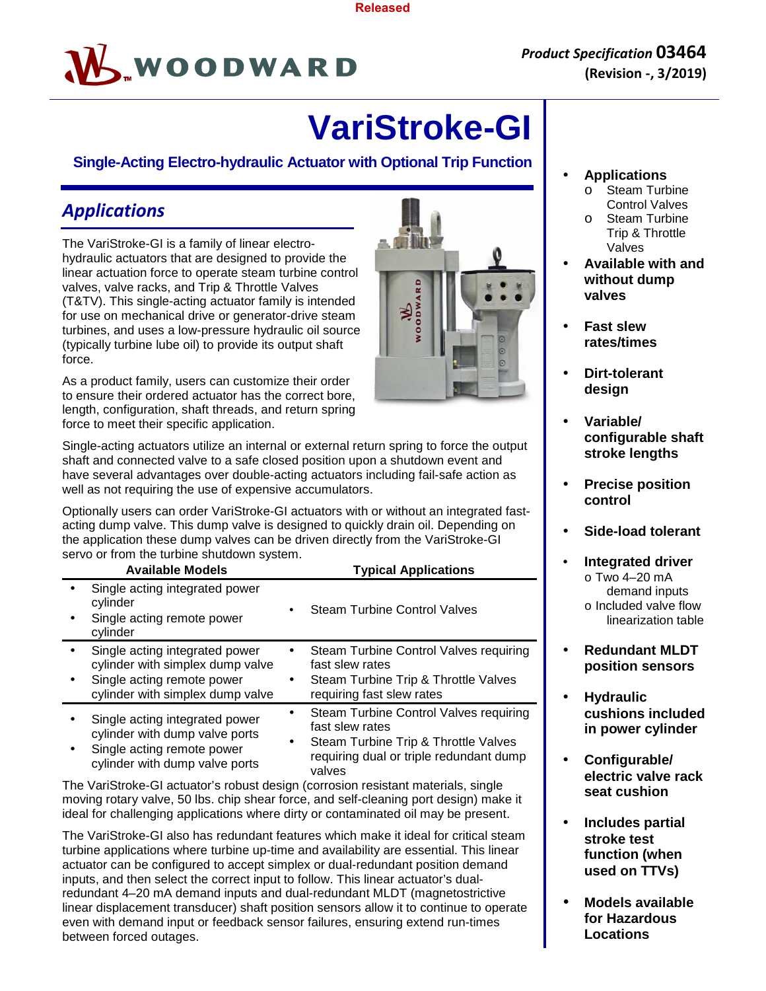

# **VariStroke-GI**

#### **Single-Acting Electro-hydraulic Actuator with Optional Trip Function**

# *Applications*

The VariStroke-GI is a family of linear electrohydraulic actuators that are designed to provide the linear actuation force to operate steam turbine control valves, valve racks, and Trip & Throttle Valves (T&TV). This single-acting actuator family is intended for use on mechanical drive or generator-drive steam turbines, and uses a low-pressure hydraulic oil source (typically turbine lube oil) to provide its output shaft force.

As a product family, users can customize their order to ensure their ordered actuator has the correct bore, length, configuration, shaft threads, and return spring force to meet their specific application.

Single-acting actuators utilize an internal or external return spring to force the output shaft and connected valve to a safe closed position upon a shutdown event and have several advantages over double-acting actuators including fail-safe action as well as not requiring the use of expensive accumulators.

Optionally users can order VariStroke-GI actuators with or without an integrated fastacting dump valve. This dump valve is designed to quickly drain oil. Depending on the application these dump valves can be driven directly from the VariStroke-GI servo or from the turbine shutdown system.

| <b>Available Models</b>                                                                                                              |           | <b>Typical Applications</b>                                                                                                                            |
|--------------------------------------------------------------------------------------------------------------------------------------|-----------|--------------------------------------------------------------------------------------------------------------------------------------------------------|
| Single acting integrated power<br>cylinder<br>Single acting remote power<br>cylinder                                                 |           | <b>Steam Turbine Control Valves</b>                                                                                                                    |
| Single acting integrated power<br>cylinder with simplex dump valve<br>Single acting remote power<br>cylinder with simplex dump valve | $\bullet$ | Steam Turbine Control Valves requiring<br>fast slew rates<br>Steam Turbine Trip & Throttle Valves<br>requiring fast slew rates                         |
| Single acting integrated power<br>cylinder with dump valve ports<br>Single acting remote power<br>cylinder with dump valve ports     | ٠         | Steam Turbine Control Valves requiring<br>fast slew rates<br>Steam Turbine Trip & Throttle Valves<br>requiring dual or triple redundant dump<br>valves |

The VariStroke-GI actuator's robust design (corrosion resistant materials, single moving rotary valve, 50 lbs. chip shear force, and self-cleaning port design) make it ideal for challenging applications where dirty or contaminated oil may be present.

The VariStroke-GI also has redundant features which make it ideal for critical steam turbine applications where turbine up-time and availability are essential. This linear actuator can be configured to accept simplex or dual-redundant position demand inputs, and then select the correct input to follow. This linear actuator's dualredundant 4–20 mA demand inputs and dual-redundant MLDT (magnetostrictive linear displacement transducer) shaft position sensors allow it to continue to operate even with demand input or feedback sensor failures, ensuring extend run-times between forced outages.

- **Applications** 
	- o Steam Turbine Control Valves o Steam Turbine
	- Trip & Throttle Valves
- **Available with and without dump valves**
- **Fast slew rates/times**
- **Dirt-tolerant design**
- **Variable/ configurable shaft stroke lengths**
- **Precise position control**
- **Side-load tolerant**
- **Integrated driver** o Two 4–20 mA demand inputs o Included valve flow linearization table
- **Redundant MLDT position sensors**
- **Hydraulic cushions included in power cylinder**
- **Configurable/ electric valve rack seat cushion**
- **Includes partial stroke test function (when used on TTVs)**
- **Models available for Hazardous Locations**

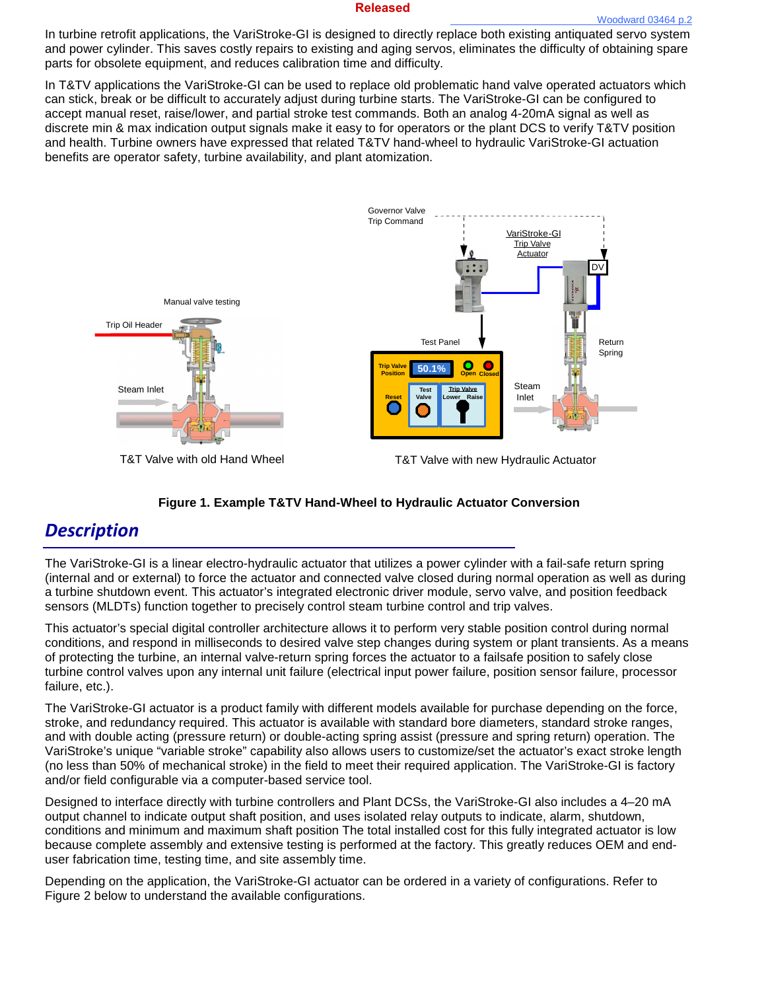In turbine retrofit applications, the VariStroke-GI is designed to directly replace both existing antiquated servo system and power cylinder. This saves costly repairs to existing and aging servos, eliminates the difficulty of obtaining spare parts for obsolete equipment, and reduces calibration time and difficulty.

In T&TV applications the VariStroke-GI can be used to replace old problematic hand valve operated actuators which can stick, break or be difficult to accurately adjust during turbine starts. The VariStroke-GI can be configured to accept manual reset, raise/lower, and partial stroke test commands. Both an analog 4-20mA signal as well as discrete min & max indication output signals make it easy to for operators or the plant DCS to verify T&TV position and health. Turbine owners have expressed that related T&TV hand-wheel to hydraulic VariStroke-GI actuation benefits are operator safety, turbine availability, and plant atomization.





## *Description*

The VariStroke-GI is a linear electro-hydraulic actuator that utilizes a power cylinder with a fail-safe return spring (internal and or external) to force the actuator and connected valve closed during normal operation as well as during a turbine shutdown event. This actuator's integrated electronic driver module, servo valve, and position feedback sensors (MLDTs) function together to precisely control steam turbine control and trip valves.

This actuator's special digital controller architecture allows it to perform very stable position control during normal conditions, and respond in milliseconds to desired valve step changes during system or plant transients. As a means of protecting the turbine, an internal valve-return spring forces the actuator to a failsafe position to safely close turbine control valves upon any internal unit failure (electrical input power failure, position sensor failure, processor failure, etc.).

The VariStroke-GI actuator is a product family with different models available for purchase depending on the force, stroke, and redundancy required. This actuator is available with standard bore diameters, standard stroke ranges, and with double acting (pressure return) or double-acting spring assist (pressure and spring return) operation. The VariStroke's unique "variable stroke" capability also allows users to customize/set the actuator's exact stroke length (no less than 50% of mechanical stroke) in the field to meet their required application. The VariStroke-GI is factory and/or field configurable via a computer-based service tool.

Designed to interface directly with turbine controllers and Plant DCSs, the VariStroke-GI also includes a 4–20 mA output channel to indicate output shaft position, and uses isolated relay outputs to indicate, alarm, shutdown, conditions and minimum and maximum shaft position The total installed cost for this fully integrated actuator is low because complete assembly and extensive testing is performed at the factory. This greatly reduces OEM and enduser fabrication time, testing time, and site assembly time.

Depending on the application, the VariStroke-GI actuator can be ordered in a variety of configurations. Refer to Figure 2 below to understand the available configurations.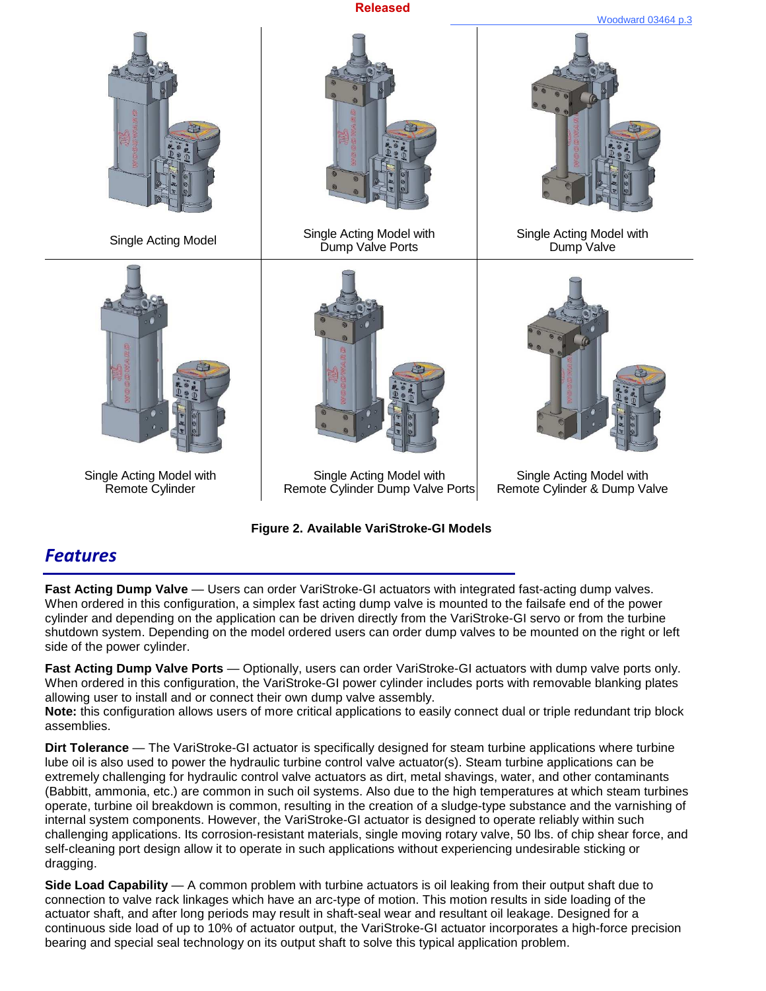

**Figure 2. Available VariStroke-GI Models** 

## *Features*

**Fast Acting Dump Valve** — Users can order VariStroke-GI actuators with integrated fast-acting dump valves. When ordered in this configuration, a simplex fast acting dump valve is mounted to the failsafe end of the power cylinder and depending on the application can be driven directly from the VariStroke-GI servo or from the turbine shutdown system. Depending on the model ordered users can order dump valves to be mounted on the right or left side of the power cylinder.

**Fast Acting Dump Valve Ports** — Optionally, users can order VariStroke-GI actuators with dump valve ports only. When ordered in this configuration, the VariStroke-GI power cylinder includes ports with removable blanking plates allowing user to install and or connect their own dump valve assembly.

**Note:** this configuration allows users of more critical applications to easily connect dual or triple redundant trip block assemblies.

**Dirt Tolerance** — The VariStroke-GI actuator is specifically designed for steam turbine applications where turbine lube oil is also used to power the hydraulic turbine control valve actuator(s). Steam turbine applications can be extremely challenging for hydraulic control valve actuators as dirt, metal shavings, water, and other contaminants (Babbitt, ammonia, etc.) are common in such oil systems. Also due to the high temperatures at which steam turbines operate, turbine oil breakdown is common, resulting in the creation of a sludge-type substance and the varnishing of internal system components. However, the VariStroke-GI actuator is designed to operate reliably within such challenging applications. Its corrosion-resistant materials, single moving rotary valve, 50 lbs. of chip shear force, and self-cleaning port design allow it to operate in such applications without experiencing undesirable sticking or dragging.

**Side Load Capability** — A common problem with turbine actuators is oil leaking from their output shaft due to connection to valve rack linkages which have an arc-type of motion. This motion results in side loading of the actuator shaft, and after long periods may result in shaft-seal wear and resultant oil leakage. Designed for a continuous side load of up to 10% of actuator output, the VariStroke-GI actuator incorporates a high-force precision bearing and special seal technology on its output shaft to solve this typical application problem.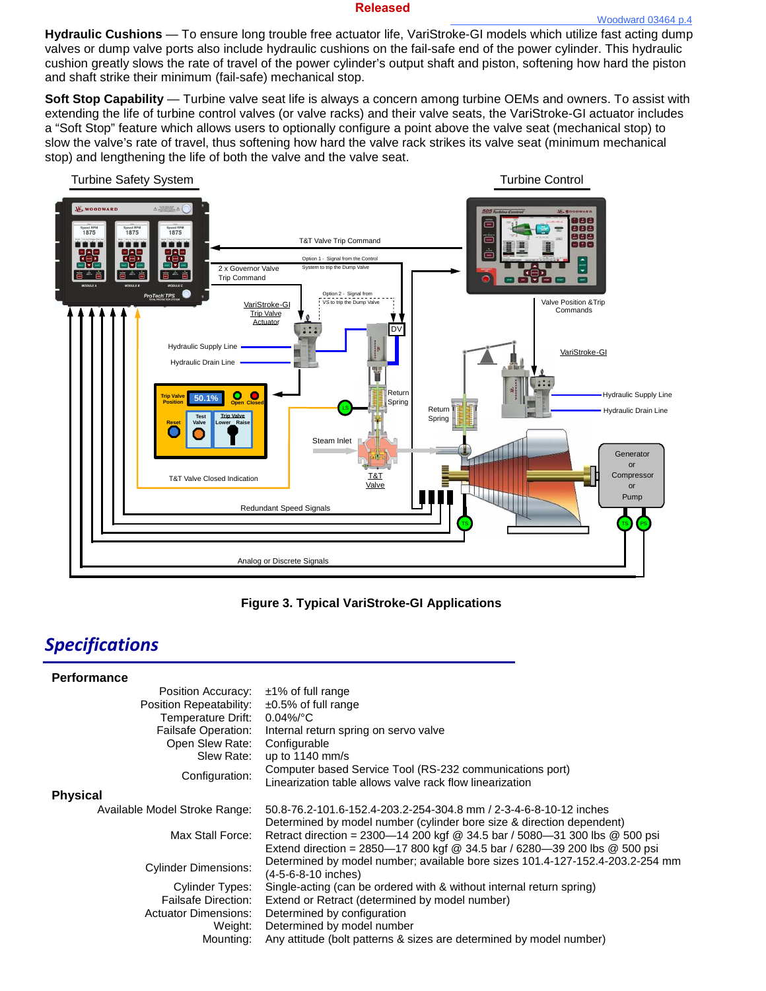**Hydraulic Cushions** — To ensure long trouble free actuator life, VariStroke-GI models which utilize fast acting dump valves or dump valve ports also include hydraulic cushions on the fail-safe end of the power cylinder. This hydraulic cushion greatly slows the rate of travel of the power cylinder's output shaft and piston, softening how hard the piston and shaft strike their minimum (fail-safe) mechanical stop.

**Soft Stop Capability** — Turbine valve seat life is always a concern among turbine OEMs and owners. To assist with extending the life of turbine control valves (or valve racks) and their valve seats, the VariStroke-GI actuator includes a "Soft Stop" feature which allows users to optionally configure a point above the valve seat (mechanical stop) to slow the valve's rate of travel, thus softening how hard the valve rack strikes its valve seat (minimum mechanical stop) and lengthening the life of both the valve and the valve seat.



**Figure 3. Typical VariStroke-GI Applications**

## *Specifications*

| <b>Performance</b>            |                                                                               |
|-------------------------------|-------------------------------------------------------------------------------|
| Position Accuracy:            | ±1% of full range                                                             |
| Position Repeatability:       | $\pm 0.5\%$ of full range                                                     |
| Temperature Drift:            | $0.04\%$ $^{\circ}$ C                                                         |
| Failsafe Operation:           | Internal return spring on servo valve                                         |
| Open Slew Rate:               | Configurable                                                                  |
| Slew Rate:                    | up to $1140$ mm/s                                                             |
| Configuration:                | Computer based Service Tool (RS-232 communications port)                      |
|                               | Linearization table allows valve rack flow linearization                      |
| <b>Physical</b>               |                                                                               |
| Available Model Stroke Range: | 50.8-76.2-101.6-152.4-203.2-254-304.8 mm / 2-3-4-6-8-10-12 inches             |
|                               | Determined by model number (cylinder bore size & direction dependent)         |
| Max Stall Force:              | Retract direction = $2300 - 14200$ kgf @ 34.5 bar / 5080-31 300 lbs @ 500 psi |
|                               | Extend direction = 2850-17 800 kgf @ 34.5 bar / 6280-39 200 lbs @ 500 psi     |
| <b>Cylinder Dimensions:</b>   | Determined by model number; available bore sizes 101.4-127-152.4-203.2-254 mm |
|                               | (4-5-6-8-10 inches)                                                           |
| Cylinder Types:               | Single-acting (can be ordered with & without internal return spring)          |
| <b>Failsafe Direction:</b>    | Extend or Retract (determined by model number)                                |
| <b>Actuator Dimensions:</b>   | Determined by configuration                                                   |
| Weight:                       | Determined by model number                                                    |
| Mounting:                     | Any attitude (bolt patterns & sizes are determined by model number)           |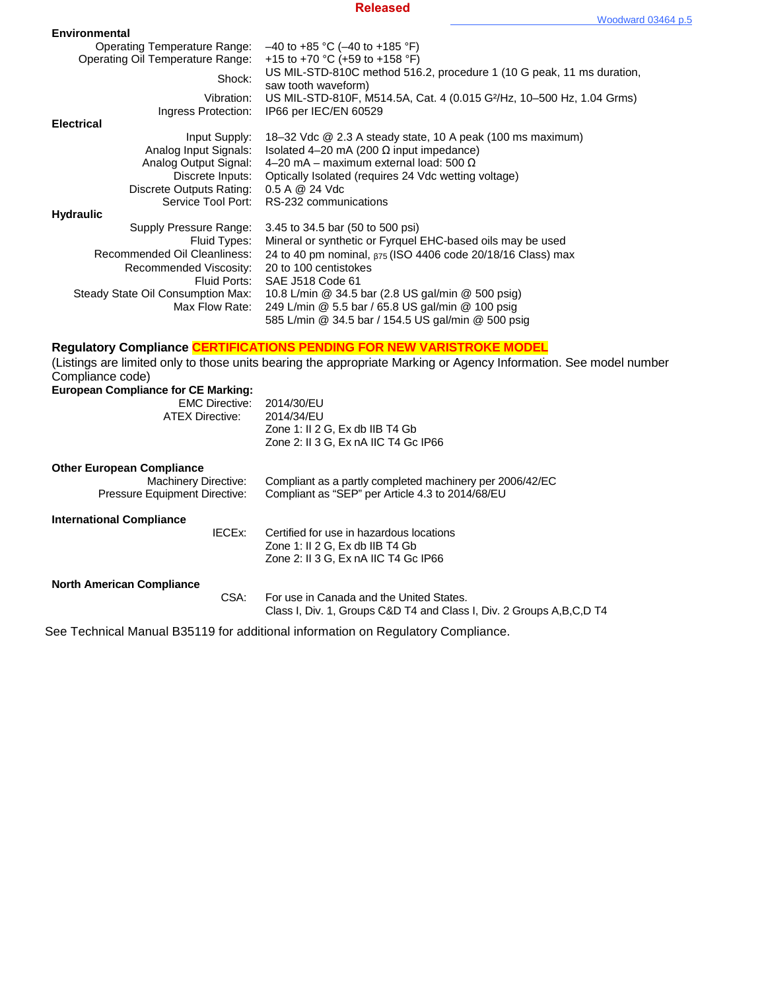| <b>Environmental</b>                                                           |                                                                                                                                                                                                   |
|--------------------------------------------------------------------------------|---------------------------------------------------------------------------------------------------------------------------------------------------------------------------------------------------|
| <b>Operating Temperature Range:</b><br><b>Operating Oil Temperature Range:</b> | $-40$ to +85 °C (-40 to +185 °F)<br>+15 to +70 °C (+59 to +158 °F)                                                                                                                                |
| Shock:                                                                         | US MIL-STD-810C method 516.2, procedure 1 (10 G peak, 11 ms duration,                                                                                                                             |
| Vibration:                                                                     | saw tooth waveform)<br>US MIL-STD-810F, M514.5A, Cat. 4 (0.015 G <sup>2</sup> /Hz, 10-500 Hz, 1.04 Grms)                                                                                          |
| Ingress Protection:                                                            | IP66 per IEC/EN 60529                                                                                                                                                                             |
| <b>Electrical</b><br>Input Supply:                                             | 18-32 Vdc @ 2.3 A steady state, 10 A peak (100 ms maximum)                                                                                                                                        |
| Analog Input Signals:                                                          | Isolated 4-20 mA (200 $\Omega$ input impedance)                                                                                                                                                   |
| Analog Output Signal:                                                          | 4-20 mA - maximum external load: 500 $\Omega$                                                                                                                                                     |
| Discrete Inputs:<br><b>Discrete Outputs Rating:</b>                            | Optically Isolated (requires 24 Vdc wetting voltage)<br>0.5 A @ 24 Vdc                                                                                                                            |
| Service Tool Port:                                                             | RS-232 communications                                                                                                                                                                             |
| <b>Hydraulic</b>                                                               |                                                                                                                                                                                                   |
| Supply Pressure Range:<br>Fluid Types:                                         | 3.45 to 34.5 bar (50 to 500 psi)<br>Mineral or synthetic or Fyrquel EHC-based oils may be used                                                                                                    |
| Recommended Oil Cleanliness:                                                   | 24 to 40 pm nominal, $_{575}$ (ISO 4406 code 20/18/16 Class) max                                                                                                                                  |
| Recommended Viscosity:                                                         | 20 to 100 centistokes                                                                                                                                                                             |
| Fluid Ports:<br>Steady State Oil Consumption Max:                              | SAE J518 Code 61<br>10.8 L/min @ 34.5 bar (2.8 US gal/min @ 500 psig)                                                                                                                             |
| Max Flow Rate:                                                                 | 249 L/min @ 5.5 bar / 65.8 US gal/min @ 100 psig                                                                                                                                                  |
|                                                                                | 585 L/min @ 34.5 bar / 154.5 US gal/min @ 500 psig                                                                                                                                                |
|                                                                                |                                                                                                                                                                                                   |
|                                                                                |                                                                                                                                                                                                   |
|                                                                                | <b>Regulatory Compliance CERTIFICATIONS PENDING FOR NEW VARISTROKE MODEL</b><br>(Listings are limited only to those units bearing the appropriate Marking or Agency Information. See model number |
| Compliance code)                                                               |                                                                                                                                                                                                   |
| <b>European Compliance for CE Marking:</b>                                     |                                                                                                                                                                                                   |
| <b>EMC Directive:</b><br><b>ATEX Directive:</b>                                | 2014/30/EU<br>2014/34/EU                                                                                                                                                                          |
|                                                                                | Zone 1: II 2 G, Ex db IIB T4 Gb                                                                                                                                                                   |
|                                                                                | Zone 2: II 3 G, Ex nA IIC T4 Gc IP66                                                                                                                                                              |
| <b>Other European Compliance</b>                                               |                                                                                                                                                                                                   |
| <b>Machinery Directive:</b>                                                    | Compliant as a partly completed machinery per 2006/42/EC                                                                                                                                          |
| Pressure Equipment Directive:                                                  | Compliant as "SEP" per Article 4.3 to 2014/68/EU                                                                                                                                                  |
| <b>International Compliance</b>                                                |                                                                                                                                                                                                   |
| <b>IECEX:</b>                                                                  | Certified for use in hazardous locations                                                                                                                                                          |
|                                                                                | Zone 1: II 2 G, Ex db IIB T4 Gb<br>Zone 2: II 3 G, Ex nA IIC T4 Gc IP66                                                                                                                           |
|                                                                                |                                                                                                                                                                                                   |
| <b>North American Compliance</b>                                               | For use in Canada and the United States.                                                                                                                                                          |
| CSA:                                                                           | Class I, Div. 1, Groups C&D T4 and Class I, Div. 2 Groups A, B, C, D T4                                                                                                                           |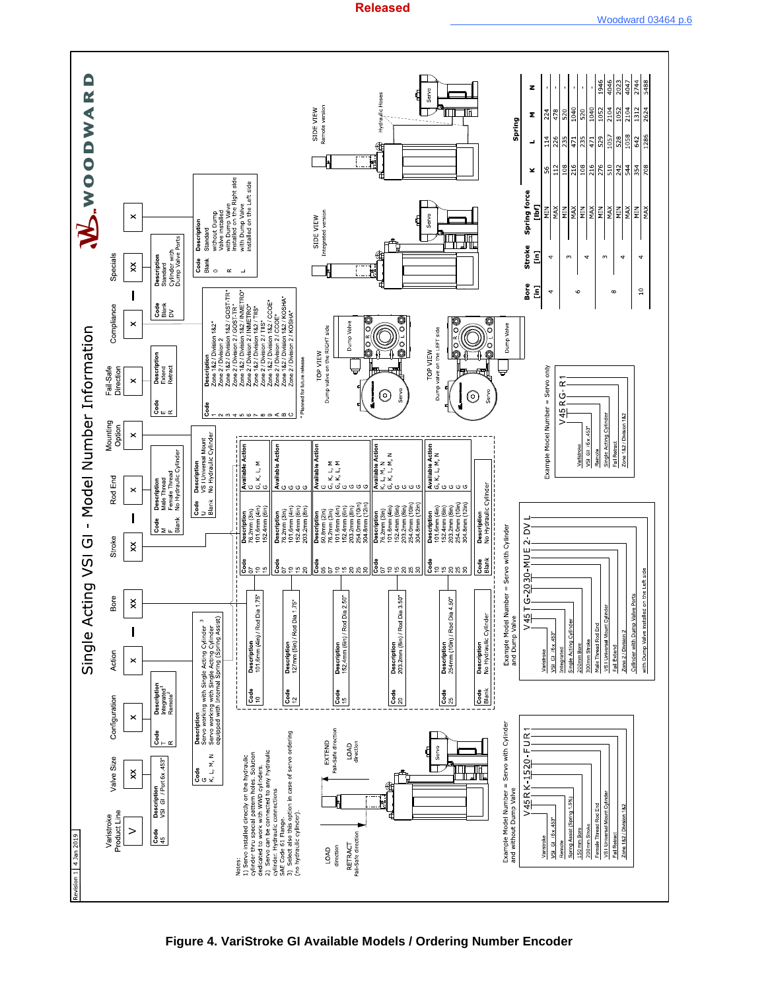

**Figure 4. VariStroke GI Available Models / Ordering Number Encoder**